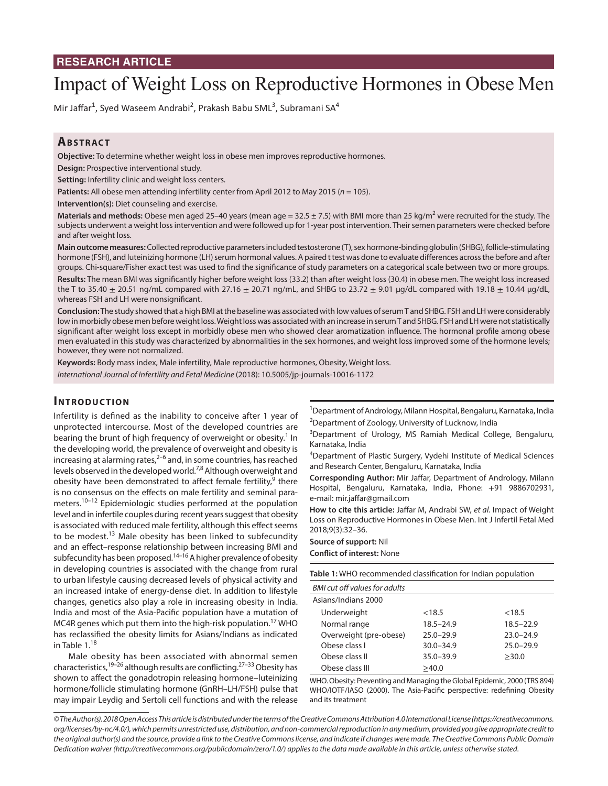# **RESEARCH ARTICLE**

# Impact of Weight Loss on Reproductive Hormones in Obese Men

Mir Jaffar<sup>1</sup>, Syed Waseem Andrabi<sup>2</sup>, Prakash Babu SML<sup>3</sup>, Subramani SA<sup>4</sup>

# **ABSTRACT**

**Objective:** To determine whether weight loss in obese men improves reproductive hormones.

**Design:** Prospective interventional study.

**Setting:** Infertility clinic and weight loss centers.

Patients: All obese men attending infertility center from April 2012 to May 2015 (*n* = 105).

**Intervention(s):** Diet counseling and exercise.

Materials and methods: Obese men aged 25-40 years (mean age = 32.5 ± 7.5) with BMI more than 25 kg/m<sup>2</sup> were recruited for the study. The subjects underwent a weight loss intervention and were followed up for 1-year post intervention. Their semen parameters were checked before and after weight loss.

**Main outcome measures:** Collected reproductive parameters included testosterone (T), sex hormone-binding globulin (SHBG), follicle-stimulating hormone (FSH), and luteinizing hormone (LH) serum hormonal values. A paired t test was done to evaluate differences across the before and after groups. Chi-square/Fisher exact test was used to find the significance of study parameters on a categorical scale between two or more groups. **Results:** The mean BMI was significantly higher before weight loss (33.2) than after weight loss (30.4) in obese men. The weight loss increased the T to 35.40  $\pm$  20.51 ng/mL compared with 27.16  $\pm$  20.71 ng/mL, and SHBG to 23.72  $\pm$  9.01 µg/dL compared with 19.18  $\pm$  10.44 µg/dL, whereas FSH and LH were nonsignificant.

**Conclusion:** The study showed that a high BMI at the baseline was associated with low values of serum T and SHBG. FSH and LH were considerably low in morbidly obese men before weight loss. Weight loss was associated with an increase in serum T and SHBG. FSH and LH were not statistically significant after weight loss except in morbidly obese men who showed clear aromatization influence. The hormonal profile among obese men evaluated in this study was characterized by abnormalities in the sex hormones, and weight loss improved some of the hormone levels; however, they were not normalized.

**Keywords:** Body mass index, Male infertility, Male reproductive hormones, Obesity, Weight loss. *International Journal of Infertility and Fetal Medicine* (2018): 10.5005/jp-journals-10016-1172

## **INTRODUCTION**

Infertility is defined as the inability to conceive after 1 year of unprotected intercourse. Most of the developed countries are bearing the brunt of high frequency of overweight or obesity.<sup>1</sup> In the developing world, the prevalence of overweight and obesity is increasing at alarming rates, $2^{-6}$  and, in some countries, has reached levels observed in the developed world.<sup>7,8</sup> Although overweight and obesity have been demonstrated to affect female fertility,<sup>9</sup> there is no consensus on the effects on male fertility and seminal parameters.<sup>10–12</sup> Epidemiologic studies performed at the population level and in infertile couples during recent years suggest that obesity is associated with reduced male fertility, although this effect seems to be modest.<sup>13</sup> Male obesity has been linked to subfecundity and an effect–response relationship between increasing BMI and subfecundity has been proposed.<sup>14–16</sup> A higher prevalence of obesity in developing countries is associated with the change from rural to urban lifestyle causing decreased levels of physical activity and an increased intake of energy-dense diet. In addition to lifestyle changes, genetics also play a role in increasing obesity in India. India and most of the Asia-Pacific population have a mutation of MC4R genes which put them into the high-risk population.<sup>17</sup> WHO has reclassified the obesity limits for Asians/Indians as indicated in Table 1.<sup>18</sup>

Male obesity has been associated with abnormal semen characteristics,<sup>19–26</sup> although results are conflicting.<sup>27–33</sup> Obesity has shown to affect the gonadotropin releasing hormone–luteinizing hormone/follicle stimulating hormone (GnRH–LH/FSH) pulse that may impair Leydig and Sertoli cell functions and with the release

<sup>1</sup>Department of Andrology, Milann Hospital, Bengaluru, Karnataka, India <sup>2</sup>Department of Zoology, University of Lucknow, India

<sup>3</sup>Department of Urology, MS Ramiah Medical College, Bengaluru, Karnataka, India

4 Department of Plastic Surgery, Vydehi Institute of Medical Sciences and Research Center, Bengaluru, Karnataka, India

**Corresponding Author:** Mir Jaffar, Department of Andrology, Milann Hospital, Bengaluru, Karnataka, India, Phone: +91 9886702931, e-mail: mir.jaffar@gmail.com

**How to cite this article:** Jaffar M, Andrabi SW, *et al.* Impact of Weight Loss on Reproductive Hormones in Obese Men. Int J Infertil Fetal Med 2018;9(3):32–36.

#### **Source of support:** Nil

**Conflict of interest:** None

| BMI cut off values for adults |               |               |
|-------------------------------|---------------|---------------|
| Asians/Indians 2000           |               |               |
| Underweight                   | <18.5         | <18.5         |
| Normal range                  | $18.5 - 24.9$ | $18.5 - 22.9$ |
| Overweight (pre-obese)        | $25.0 - 29.9$ | $23.0 - 24.9$ |
| Obese class L                 | $30.0 - 34.9$ | $25.0 - 29.9$ |
| Obese class II                | $35.0 - 39.9$ | >30.0         |
| Obese class III               | >40.0         |               |

WHO. Obesity: Preventing and Managing the Global Epidemic, 2000 (TRS 894) WHO/IOTF/IASO (2000). The Asia-Pacific perspective: redefining Obesity and its treatment

*© The Author(s). 2018 Open Access This article is distributed under the terms of the Creative Commons Attribution 4.0 International License (https://creativecommons. org/licenses/by-nc/4.0/), which permits unrestricted use, distribution, and non-commercial reproduction in any medium, provided you give appropriate credit to the original author(s) and the source, provide a link to the Creative Commons license, and indicate if changes were made. The Creative Commons Public Domain Dedication waiver (http://creativecommons.org/publicdomain/zero/1.0/) applies to the data made available in this article, unless otherwise stated.*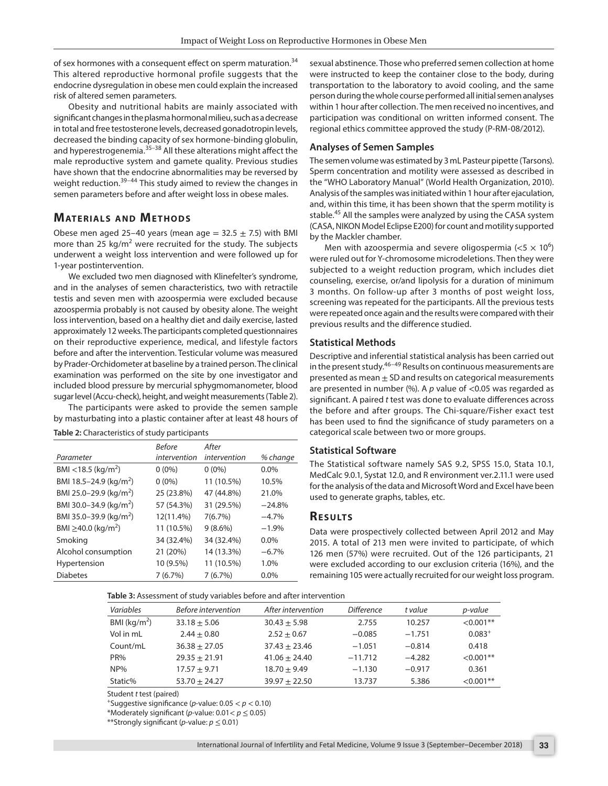of sex hormones with a consequent effect on sperm maturation.<sup>34</sup> This altered reproductive hormonal profile suggests that the endocrine dysregulation in obese men could explain the increased risk of altered semen parameters.

Obesity and nutritional habits are mainly associated with significant changes in the plasma hormonal milieu, such as a decrease in total and free testosterone levels, decreased gonadotropin levels, decreased the binding capacity of sex hormone-binding globulin, and hyperestrogenemia.<sup>35-38</sup> All these alterations might affect the male reproductive system and gamete quality. Previous studies have shown that the endocrine abnormalities may be reversed by weight reduction.<sup>39-44</sup> This study aimed to review the changes in semen parameters before and after weight loss in obese males.

# **MATERIALS AND METHODS**

Obese men aged 25–40 years (mean age =  $32.5 \pm 7.5$ ) with BMI more than 25 kg/ $m^2$  were recruited for the study. The subjects underwent a weight loss intervention and were followed up for 1-year postintervention.

We excluded two men diagnosed with Klinefelter's syndrome, and in the analyses of semen characteristics, two with retractile testis and seven men with azoospermia were excluded because azoospermia probably is not caused by obesity alone. The weight loss intervention, based on a healthy diet and daily exercise, lasted approximately 12 weeks. The participants completed questionnaires on their reproductive experience, medical, and lifestyle factors before and after the intervention. Testicular volume was measured by Prader-Orchidometer at baseline by a trained person. The clinical examination was performed on the site by one investigator and included blood pressure by mercurial sphygmomanometer, blood sugar level (Accu-check), height, and weight measurements (Table 2).

The participants were asked to provide the semen sample by masturbating into a plastic container after at least 48 hours of

|                                      | <b>Before</b> | After        |          |
|--------------------------------------|---------------|--------------|----------|
| Parameter                            | intervention  | intervention | % change |
| BMI <18.5 (kg/m <sup>2</sup> )       | $0(0\%)$      | $0(0\%)$     | $0.0\%$  |
| BMI 18.5-24.9 (kg/m <sup>2</sup> )   | $0(0\%)$      | 11 (10.5%)   | 10.5%    |
| BMI 25.0-29.9 (kg/m <sup>2</sup> )   | 25 (23.8%)    | 47 (44.8%)   | 21.0%    |
| BMI 30.0-34.9 (kg/m <sup>2</sup> )   | 57 (54.3%)    | 31 (29.5%)   | $-24.8%$ |
| BMI 35.0-39.9 (kg/m <sup>2</sup> )   | 12(11.4%)     | 7(6.7%)      | $-4.7%$  |
| BMI $\geq$ 40.0 (kg/m <sup>2</sup> ) | 11 (10.5%)    | $9(8.6\%)$   | $-1.9%$  |
| Smoking                              | 34 (32.4%)    | 34 (32.4%)   | $0.0\%$  |
| Alcohol consumption                  | 21 (20%)      | 14 (13.3%)   | $-6.7%$  |
| Hypertension                         | 10 (9.5%)     | 11 (10.5%)   | 1.0%     |
| <b>Diabetes</b>                      | 7(6.7%)       | 7(6.7%)      | 0.0%     |

**Table 2:** Characteristics of study participants

sexual abstinence. Those who preferred semen collection at home were instructed to keep the container close to the body, during transportation to the laboratory to avoid cooling, and the same person during the whole course performed all initial semen analyses within 1 hour after collection. The men received no incentives, and participation was conditional on written informed consent. The regional ethics committee approved the study (P-RM-08/2012).

#### **Analyses of Semen Samples**

The semen volume was estimated by 3 mL Pasteur pipette (Tarsons). Sperm concentration and motility were assessed as described in the "WHO Laboratory Manual" (World Health Organization, 2010). Analysis of the samples was initiated within 1 hour after ejaculation, and, within this time, it has been shown that the sperm motility is stable.<sup>45</sup> All the samples were analyzed by using the CASA system (CASA, NIKON Model Eclipse E200) for count and motility supported by the Mackler chamber.

Men with azoospermia and severe oligospermia ( $<$ 5  $\times$  10<sup>6</sup>) were ruled out for Y-chromosome microdeletions. Then they were subjected to a weight reduction program, which includes diet counseling, exercise, or/and lipolysis for a duration of minimum 3 months. On follow-up after 3 months of post weight loss, screening was repeated for the participants. All the previous tests were repeated once again and the results were compared with their previous results and the difference studied.

#### **Statistical Methods**

Descriptive and inferential statistical analysis has been carried out in the present study.46–49 Results on continuous measurements are presented as mean  $\pm$  SD and results on categorical measurements are presented in number (%). A *p* value of <0.05 was regarded as significant. A paired *t* test was done to evaluate differences across the before and after groups. The Chi-square/Fisher exact test has been used to find the significance of study parameters on a categorical scale between two or more groups.

#### **Statistical Software**

The Statistical software namely SAS 9.2, SPSS 15.0, Stata 10.1, MedCalc 9.0.1, Systat 12.0, and R environment ver.2.11.1 were used for the analysis of the data and Microsoft Word and Excel have been used to generate graphs, tables, etc.

#### **Re s u lts**

Data were prospectively collected between April 2012 and May 2015. A total of 213 men were invited to participate, of which 126 men (57%) were recruited. Out of the 126 participants, 21 were excluded according to our exclusion criteria (16%), and the remaining 105 were actually recruited for our weight loss program.

**Table 3:** Assessment of study variables before and after intervention

| Variables               | <b>Before intervention</b> | After intervention | <b>Difference</b> | t value  | p-value      |
|-------------------------|----------------------------|--------------------|-------------------|----------|--------------|
| BMI ( $\text{kg/m}^2$ ) | $33.18 + 5.06$             | $30.43 + 5.98$     | 2.755             | 10.257   | $<0.001**$   |
| Vol in mL               | $2.44 + 0.80$              | $2.52 + 0.67$      | $-0.085$          | $-1.751$ | $0.083^{+}$  |
| Count/mL                | $36.38 + 27.05$            | $37.43 + 23.46$    | $-1.051$          | $-0.814$ | 0.418        |
| PR <sub>%</sub>         | $29.35 + 21.91$            | $41.06 + 24.40$    | $-11.712$         | $-4.282$ | $< 0.001$ ** |
| NP%                     | $17.57 + 9.71$             | $18.70 + 9.49$     | $-1.130$          | $-0.917$ | 0.361        |
| Static%                 | $53.70 + 24.27$            | $39.97 + 22.50$    | 13.737            | 5.386    | $<0.001**$   |

Student *t* test (paired)

+Suggestive significance (*p*-value: 0.05 < *p* < 0.10)

\*Moderately significant (*p*-value: 0.01< *p* ≤ 0.05)

\*\*Strongly significant (*p*-value: *p* ≤ 0.01)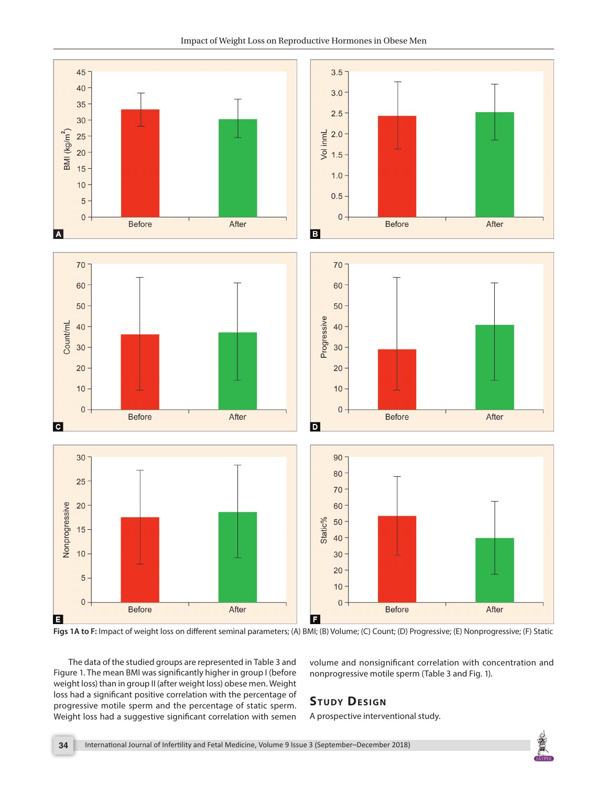Impact of Weight Loss on Reproductive Hormones in Obese Men



**Figs 1A to F:** Impact of weight loss on different seminal parameters; (A) BMI; (B) Volume; (C) Count; (D) Progressive; (E) Nonprogressive; (F) Static

The data of the studied groups are represented in Table 3 and Figure 1. The mean BMI was significantly higher in group I (before weight loss) than in group II (after weight loss) obese men. Weight loss had a significant positive correlation with the percentage of progressive motile sperm and the percentage of static sperm. Weight loss had a suggestive significant correlation with semen volume and nonsignificant correlation with concentration and nonprogressive motile sperm (Table 3 and Fig. 1).

# **STUDY DESIGN**

A prospective interventional study.

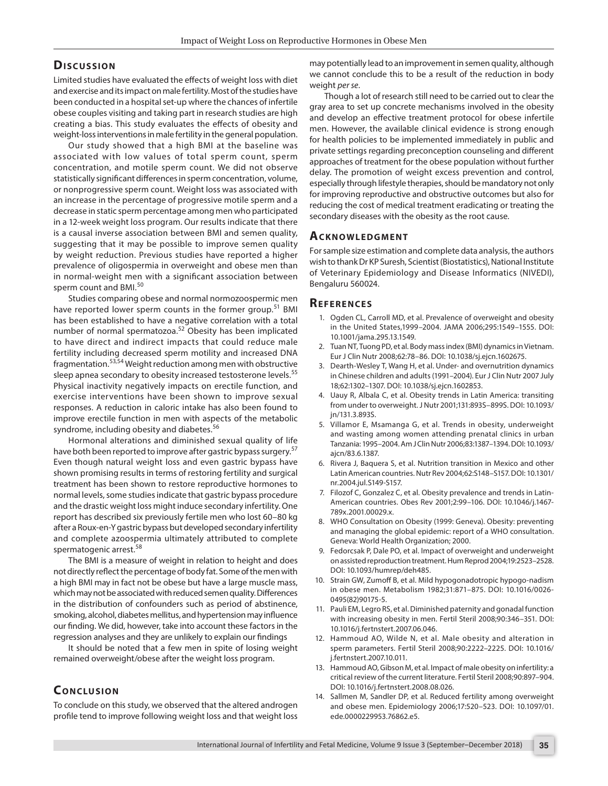### **Dis c u s sio n**

Limited studies have evaluated the effects of weight loss with diet and exercise and its impact on male fertility. Most of the studies have been conducted in a hospital set-up where the chances of infertile obese couples visiting and taking part in research studies are high creating a bias. This study evaluates the effects of obesity and weight-loss interventions in male fertility in the general population.

Our study showed that a high BMI at the baseline was associated with low values of total sperm count, sperm concentration, and motile sperm count. We did not observe statistically significant differences in sperm concentration, volume, or nonprogressive sperm count. Weight loss was associated with an increase in the percentage of progressive motile sperm and a decrease in static sperm percentage among men who participated in a 12-week weight loss program. Our results indicate that there is a causal inverse association between BMI and semen quality, suggesting that it may be possible to improve semen quality by weight reduction. Previous studies have reported a higher prevalence of oligospermia in overweight and obese men than in normal-weight men with a significant association between sperm count and BMI.<sup>50</sup>

Studies comparing obese and normal normozoospermic men have reported lower sperm counts in the former group.<sup>51</sup> BMI has been established to have a negative correlation with a total number of normal spermatozoa.52 Obesity has been implicated to have direct and indirect impacts that could reduce male fertility including decreased sperm motility and increased DNA fragmentation.53,54 Weight reduction among men with obstructive sleep apnea secondary to obesity increased testosterone levels.<sup>55</sup> Physical inactivity negatively impacts on erectile function, and exercise interventions have been shown to improve sexual responses. A reduction in caloric intake has also been found to improve erectile function in men with aspects of the metabolic syndrome, including obesity and diabetes.<sup>56</sup>

Hormonal alterations and diminished sexual quality of life have both been reported to improve after gastric bypass surgery.<sup>57</sup> Even though natural weight loss and even gastric bypass have shown promising results in terms of restoring fertility and surgical treatment has been shown to restore reproductive hormones to normal levels, some studies indicate that gastric bypass procedure and the drastic weight loss might induce secondary infertility. One report has described six previously fertile men who lost 60–80 kg after a Roux-en-Y gastric bypass but developed secondary infertility and complete azoospermia ultimately attributed to complete spermatogenic arrest.<sup>58</sup>

The BMI is a measure of weight in relation to height and does not directly reflect the percentage of body fat. Some of the men with a high BMI may in fact not be obese but have a large muscle mass, which may not be associated with reduced semen quality. Differences in the distribution of confounders such as period of abstinence, smoking, alcohol, diabetes mellitus, and hypertension may influence our finding. We did, however, take into account these factors in the regression analyses and they are unlikely to explain our findings

It should be noted that a few men in spite of losing weight remained overweight/obese after the weight loss program.

## **CONCLUSION**

To conclude on this study, we observed that the altered androgen profile tend to improve following weight loss and that weight loss may potentially lead to an improvement in semen quality, although we cannot conclude this to be a result of the reduction in body weight *per se*.

Though a lot of research still need to be carried out to clear the gray area to set up concrete mechanisms involved in the obesity and develop an effective treatment protocol for obese infertile men. However, the available clinical evidence is strong enough for health policies to be implemented immediately in public and private settings regarding preconception counseling and different approaches of treatment for the obese population without further delay. The promotion of weight excess prevention and control, especially through lifestyle therapies, should be mandatory not only for improving reproductive and obstructive outcomes but also for reducing the cost of medical treatment eradicating or treating the secondary diseases with the obesity as the root cause.

#### **ACKNOWLEDGMENT**

For sample size estimation and complete data analysis, the authors wish to thank Dr KP Suresh, Scientist (Biostatistics), National Institute of Veterinary Epidemiology and Disease Informatics (NIVEDI), Bengaluru 560024.

#### **Re f e r e n c e s**

- 1. Ogden CL, Carroll MD, et al. Prevalence of overweight and obesity in the United States,1999–2004. JAMA 2006;295:1549–1555. DOI: 10.1001/jama.295.13.1549.
- 2. Tuan NT, Tuong PD, et al. Body mass index (BMI) dynamics in Vietnam. Eur J Clin Nutr 2008;62:78–86. DOI: 10.1038/sj.ejcn.1602675.
- 3. Dearth-Wesley T, Wang H, et al. Under- and overnutrition dynamics in Chinese children and adults (1991–2004). Eur J Clin Nutr 2007 July 18;62:1302–1307. DOI: 10.1038/sj.ejcn.1602853.
- 4. Uauy R, Albala C, et al. Obesity trends in Latin America: transiting from under to overweight. J Nutr 2001;131:893S–899S. DOI: 10.1093/ jn/131.3.893S.
- 5. Villamor E, Msamanga G, et al. Trends in obesity, underweight and wasting among women attending prenatal clinics in urban Tanzania: 1995–2004. Am J Clin Nutr 2006;83:1387–1394. DOI: 10.1093/ ajcn/83.6.1387.
- 6. Rivera J, Baquera S, et al. Nutrition transition in Mexico and other Latin American countries. Nutr Rev 2004;62:S148–S157. DOI: 10.1301/ nr.2004.jul.S149-S157.
- 7. Filozof C, Gonzalez C, et al. Obesity prevalence and trends in Latin-American countries. Obes Rev 2001;2:99–106. DOI: 10.1046/j.1467- 789x.2001.00029.x.
- 8. WHO Consultation on Obesity (1999: Geneva). Obesity: preventing and managing the global epidemic: report of a WHO consultation. Geneva: World Health Organization; 2000.
- 9. Fedorcsak P, Dale PO, et al. Impact of overweight and underweight on assisted reproduction treatment. Hum Reprod 2004;19:2523–2528. DOI: 10.1093/humrep/deh485.
- 10. Strain GW, Zumoff B, et al. Mild hypogonadotropic hypogo-nadism in obese men. Metabolism 1982;31:871–875. DOI: 10.1016/0026- 0495(82)90175-5.
- 11. Pauli EM, Legro RS, et al. Diminished paternity and gonadal function with increasing obesity in men. Fertil Steril 2008;90:346–351. DOI: 10.1016/j.fertnstert.2007.06.046.
- 12. Hammoud AO, Wilde N, et al. Male obesity and alteration in sperm parameters. Fertil Steril 2008;90:2222–2225. DOI: 10.1016/ j.fertnstert.2007.10.011.
- 13. Hammoud AO, Gibson M, et al. Impact of male obesity on infertility: a critical review of the current literature. Fertil Steril 2008;90:897–904. DOI: 10.1016/j.fertnstert.2008.08.026.
- 14. Sallmen M, Sandler DP, et al. Reduced fertility among overweight and obese men. Epidemiology 2006;17:520–523. DOI: 10.1097/01. ede.0000229953.76862.e5.